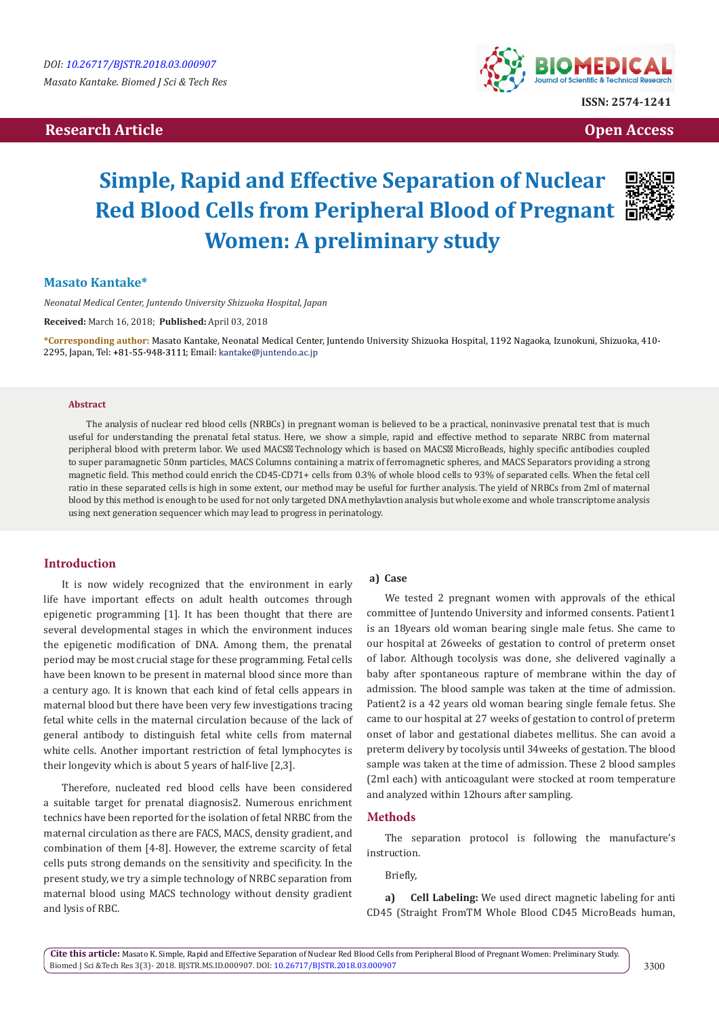# **Research Article Community Community Community Community Community Community Community Community Community Community Community Community Community Community Community Community Community Community Community Community Com**



# **Simple, Rapid and Effective Separation of Nuclear Red Blood Cells from Peripheral Blood of Pregnant Women: A preliminary study**



## **Masato Kantake\***

*Neonatal Medical Center, Juntendo University Shizuoka Hospital, Japan*

**Received:** March 16, 2018; **Published:** April 03, 2018

**\*Corresponding author:** Masato Kantake, Neonatal Medical Center, Juntendo University Shizuoka Hospital, 1192 Nagaoka, Izunokuni, Shizuoka, 410- 2295, Japan, Tel: +81-55-948-3111; Email: kantake@juntendo.ac.jp

#### **Abstract**

The analysis of nuclear red blood cells (NRBCs) in pregnant woman is believed to be a practical, noninvasive prenatal test that is much useful for understanding the prenatal fetal status. Here, we show a simple, rapid and effective method to separate NRBC from maternal peripheral blood with preterm labor. We used MACS Technology which is based on MACS MicroBeads, highly specific antibodies coupled to super paramagnetic 50nm particles, MACS Columns containing a matrix of ferromagnetic spheres, and MACS Separators providing a strong magnetic field. This method could enrich the CD45-CD71+ cells from 0.3% of whole blood cells to 93% of separated cells. When the fetal cell ratio in these separated cells is high in some extent, our method may be useful for further analysis. The yield of NRBCs from 2ml of maternal blood by this method is enough to be used for not only targeted DNA methylavtion analysis but whole exome and whole transcriptome analysis using next generation sequencer which may lead to progress in perinatology.

## **Introduction**

It is now widely recognized that the environment in early life have important effects on adult health outcomes through epigenetic programming [1]. It has been thought that there are several developmental stages in which the environment induces the epigenetic modification of DNA. Among them, the prenatal period may be most crucial stage for these programming. Fetal cells have been known to be present in maternal blood since more than a century ago. It is known that each kind of fetal cells appears in maternal blood but there have been very few investigations tracing fetal white cells in the maternal circulation because of the lack of general antibody to distinguish fetal white cells from maternal white cells. Another important restriction of fetal lymphocytes is their longevity which is about 5 years of half-live [2,3].

Therefore, nucleated red blood cells have been considered a suitable target for prenatal diagnosis2. Numerous enrichment technics have been reported for the isolation of fetal NRBC from the maternal circulation as there are FACS, MACS, density gradient, and combination of them [4-8]. However, the extreme scarcity of fetal cells puts strong demands on the sensitivity and specificity. In the present study, we try a simple technology of NRBC separation from maternal blood using MACS technology without density gradient and lysis of RBC.

#### **a) Case**

We tested 2 pregnant women with approvals of the ethical committee of Juntendo University and informed consents. Patient1 is an 18years old woman bearing single male fetus. She came to our hospital at 26weeks of gestation to control of preterm onset of labor. Although tocolysis was done, she delivered vaginally a baby after spontaneous rapture of membrane within the day of admission. The blood sample was taken at the time of admission. Patient2 is a 42 years old woman bearing single female fetus. She came to our hospital at 27 weeks of gestation to control of preterm onset of labor and gestational diabetes mellitus. She can avoid a preterm delivery by tocolysis until 34weeks of gestation. The blood sample was taken at the time of admission. These 2 blood samples (2ml each) with anticoagulant were stocked at room temperature and analyzed within 12hours after sampling.

#### **Methods**

The separation protocol is following the manufacture's instruction.

Briefly,

**a) Cell Labeling:** We used direct magnetic labeling for anti CD45 (Straight FromTM Whole Blood CD45 MicroBeads human,

**Cite this article:** Masato K. Simple, Rapid and Effective Separation of Nuclear Red Blood Cells from Peripheral Blood of Pregnant Women: Preliminary Study. Biomed J Sci &Tech Res 3(3)- 2018. BJSTR.MS.ID.000907. DOI: [10.26717/BJSTR.2018.03.000907](http://dx.doi.org/10.26717/BJSTR.2018.03.000907)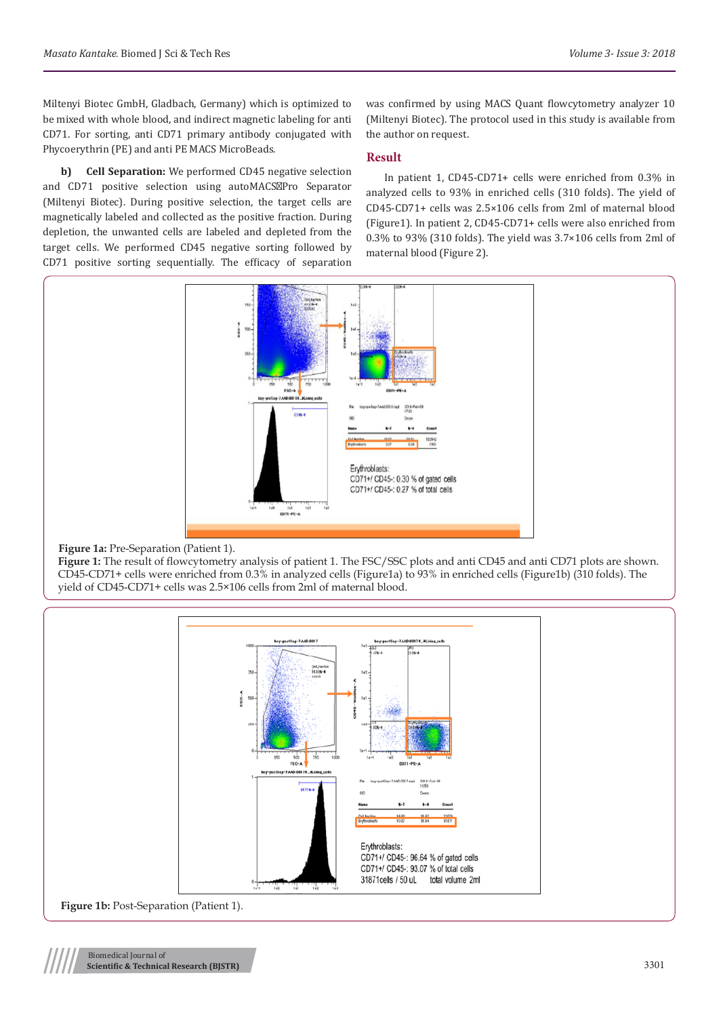Miltenyi Biotec GmbH, Gladbach, Germany) which is optimized to be mixed with whole blood, and indirect magnetic labeling for anti CD71. For sorting, anti CD71 primary antibody conjugated with Phycoerythrin (PE) and anti PE MACS MicroBeads.

**b) Cell Separation:** We performed CD45 negative selection and CD71 positive selection using autoMACS Pro Separator (Miltenyi Biotec). During positive selection, the target cells are magnetically labeled and collected as the positive fraction. During depletion, the unwanted cells are labeled and depleted from the target cells. We performed CD45 negative sorting followed by CD71 positive sorting sequentially. The efficacy of separation

was confirmed by using MACS Quant flowcytometry analyzer 10 (Miltenyi Biotec). The protocol used in this study is available from the author on request.

## **Result**

In patient 1, CD45-CD71+ cells were enriched from 0.3% in analyzed cells to 93% in enriched cells (310 folds). The yield of CD45-CD71+ cells was 2.5×106 cells from 2ml of maternal blood (Figure1). In patient 2, CD45-CD71+ cells were also enriched from 0.3% to 93% (310 folds). The yield was 3.7×106 cells from 2ml of maternal blood (Figure 2).



### **Figure 1a:** Pre-Separation (Patient 1).

**Figure 1:** The result of flowcytometry analysis of patient 1. The FSC/SSC plots and anti CD45 and anti CD71 plots are shown. CD45-CD71+ cells were enriched from 0.3% in analyzed cells (Figure1a) to 93% in enriched cells (Figure1b) (310 folds). The yield of CD45-CD71+ cells was 2.5×106 cells from 2ml of maternal blood.

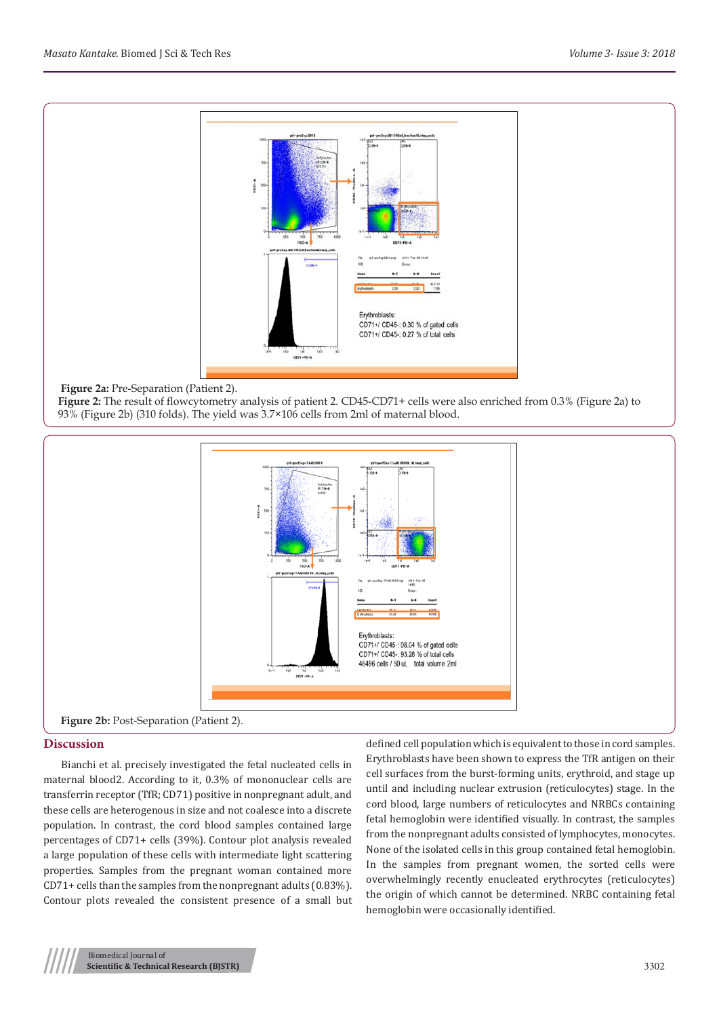

### **Figure 2a:** Pre-Separation (Patient 2).

**Figure 2:** The result of flowcytometry analysis of patient 2. CD45-CD71+ cells were also enriched from 0.3% (Figure 2a) to 93% (Figure 2b) (310 folds). The yield was 3.7×106 cells from 2ml of maternal blood.



#### **Discussion**

Bianchi et al. precisely investigated the fetal nucleated cells in maternal blood2. According to it, 0.3% of mononuclear cells are transferrin receptor (TfR; CD71) positive in nonpregnant adult, and these cells are heterogenous in size and not coalesce into a discrete population. In contrast, the cord blood samples contained large percentages of CD71+ cells (39%). Contour plot analysis revealed a large population of these cells with intermediate light scattering properties. Samples from the pregnant woman contained more CD71+ cells than the samples from the nonpregnant adults (0.83%). Contour plots revealed the consistent presence of a small but defined cell population which is equivalent to those in cord samples. Erythroblasts have been shown to express the TfR antigen on their cell surfaces from the burst-forming units, erythroid, and stage up until and including nuclear extrusion (reticulocytes) stage. In the cord blood, large numbers of reticulocytes and NRBCs containing fetal hemoglobin were identified visually. In contrast, the samples from the nonpregnant adults consisted of lymphocytes, monocytes. None of the isolated cells in this group contained fetal hemoglobin. In the samples from pregnant women, the sorted cells were overwhelmingly recently enucleated erythrocytes (reticulocytes) the origin of which cannot be determined. NRBC containing fetal hemoglobin were occasionally identified.